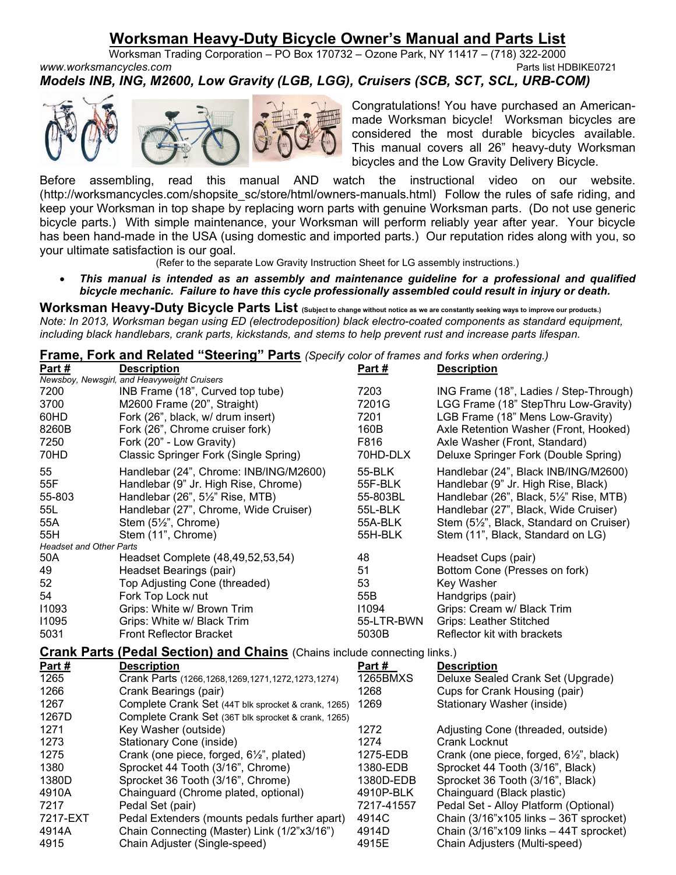## Worksman Heavy-Duty Bicycle Owner's Manual and Parts List

Worksman Trading Corporation – PO Box 170732 – Ozone Park, NY 11417 – (718) 322-2000 www.worksmancycles.com example and the example of the example of the example of the example of the example of the example of the example of the example of the example of the example of the example of the example of the exa Models INB, ING, M2600, Low Gravity (LGB, LGG), Cruisers (SCB, SCT, SCL, URB-COM)



Congratulations! You have purchased an Americanmade Worksman bicycle! Worksman bicycles are considered the most durable bicycles available. This manual covers all 26" heavy-duty Worksman bicycles and the Low Gravity Delivery Bicycle.

Before assembling, read this manual AND watch the instructional video on our website. (http://worksmancycles.com/shopsite\_sc/store/html/owners-manuals.html) Follow the rules of safe riding, and keep your Worksman in top shape by replacing worn parts with genuine Worksman parts. (Do not use generic bicycle parts.) With simple maintenance, your Worksman will perform reliably year after year. Your bicycle has been hand-made in the USA (using domestic and imported parts.) Our reputation rides along with you, so your ultimate satisfaction is our goal.

(Refer to the separate Low Gravity Instruction Sheet for LG assembly instructions.)

 This manual is intended as an assembly and maintenance guideline for a professional and qualified bicycle mechanic. Failure to have this cycle professionally assembled could result in injury or death.

Worksman Heavy-Duty Bicycle Parts List (Subject to change without notice as we are constantly seeking ways to improve our products.) Note: In 2013, Worksman began using ED (electrodeposition) black electro-coated components as standard equipment, including black handlebars, crank parts, kickstands, and stems to help prevent rust and increase parts lifespan.

| Frame, Fork and Related "Steering" Parts (Specify color of frames and forks when ordering.) |
|---------------------------------------------------------------------------------------------|
|---------------------------------------------------------------------------------------------|

| Part#                                                                            | <b>Description</b>                                     | Part#      | <b>Description</b>                     |  |  |
|----------------------------------------------------------------------------------|--------------------------------------------------------|------------|----------------------------------------|--|--|
|                                                                                  | Newsboy, Newsgirl, and Heavyweight Cruisers            |            |                                        |  |  |
| 7200                                                                             | INB Frame (18", Curved top tube)                       | 7203       | ING Frame (18", Ladies / Step-Through) |  |  |
| 3700                                                                             | M2600 Frame (20", Straight)                            | 7201G      | LGG Frame (18" StepThru Low-Gravity)   |  |  |
| 60HD                                                                             | Fork (26", black, w/ drum insert)                      | 7201       | LGB Frame (18" Mens Low-Gravity)       |  |  |
| 8260B                                                                            | Fork (26", Chrome cruiser fork)                        | 160B       | Axle Retention Washer (Front, Hooked)  |  |  |
| 7250                                                                             | Fork (20" - Low Gravity)                               | F816       | Axle Washer (Front, Standard)          |  |  |
| 70HD                                                                             | Classic Springer Fork (Single Spring)                  | 70HD-DLX   | Deluxe Springer Fork (Double Spring)   |  |  |
| 55                                                                               | Handlebar (24", Chrome: INB/ING/M2600)                 | 55-BLK     | Handlebar (24", Black INB/ING/M2600)   |  |  |
| 55F                                                                              | Handlebar (9" Jr. High Rise, Chrome)                   | 55F-BLK    | Handlebar (9" Jr. High Rise, Black)    |  |  |
| 55-803                                                                           | Handlebar (26", 51/2" Rise, MTB)                       | 55-803BL   | Handlebar (26", Black, 5½" Rise, MTB)  |  |  |
| 55L                                                                              | Handlebar (27", Chrome, Wide Cruiser)                  | 55L-BLK    | Handlebar (27", Black, Wide Cruiser)   |  |  |
| 55A                                                                              | Stem (5½", Chrome)                                     | 55A-BLK    | Stem (5½", Black, Standard on Cruiser) |  |  |
| 55H                                                                              | Stem (11", Chrome)                                     | 55H-BLK    | Stem (11", Black, Standard on LG)      |  |  |
| <b>Headset and Other Parts</b>                                                   |                                                        |            |                                        |  |  |
| 50A                                                                              | Headset Complete (48,49,52,53,54)                      | 48         | Headset Cups (pair)                    |  |  |
| 49                                                                               | Headset Bearings (pair)                                | 51         | Bottom Cone (Presses on fork)          |  |  |
| 52                                                                               | Top Adjusting Cone (threaded)                          | 53         | Key Washer                             |  |  |
| 54                                                                               | Fork Top Lock nut                                      | 55B        | Handgrips (pair)                       |  |  |
| 11093                                                                            | Grips: White w/ Brown Trim                             | 11094      | Grips: Cream w/ Black Trim             |  |  |
| 11095                                                                            | Grips: White w/ Black Trim                             | 55-LTR-BWN | <b>Grips: Leather Stitched</b>         |  |  |
| 5031                                                                             | <b>Front Reflector Bracket</b>                         | 5030B      | Reflector kit with brackets            |  |  |
| <b>Crank Parts (Pedal Section) and Chains (Chains include connecting links.)</b> |                                                        |            |                                        |  |  |
| Part #                                                                           | <b>Description</b>                                     | Part#      | <b>Description</b>                     |  |  |
| 1265                                                                             | Crank Parts (1266, 1268, 1269, 1271, 1272, 1273, 1274) | 1265BMXS   | Deluxe Sealed Crank Set (Upgrade)      |  |  |
| 1266                                                                             | Crank Bearings (pair)                                  | 1268       | Cups for Crank Housing (pair)          |  |  |
| 1267                                                                             | Complete Crank Set (44T blk sprocket & crank, 1265)    | 1269       | Stationary Washer (inside)             |  |  |
| 1267D                                                                            | Complete Crank Set (36T blk sprocket & crank, 1265)    |            |                                        |  |  |
| 1271                                                                             | Key Washer (outside)                                   | 1272       | Adjusting Cone (threaded, outside)     |  |  |
| 1273                                                                             | Stationary Cone (inside)                               | 1274       | <b>Crank Locknut</b>                   |  |  |
| 1275                                                                             | Crank (one piece, forged, 6½", plated)                 | 1275-EDB   | Crank (one piece, forged, 6½", black)  |  |  |
| 1380                                                                             | Sprocket 44 Tooth (3/16", Chrome)                      | 1380-EDB   | Sprocket 44 Tooth (3/16", Black)       |  |  |
| 1380D                                                                            | Sprocket 36 Tooth (3/16", Chrome)                      | 1380D-EDB  | Sprocket 36 Tooth (3/16", Black)       |  |  |
| 4910A                                                                            | Chainguard (Chrome plated, optional)                   | 4910P-BLK  | Chainguard (Black plastic)             |  |  |
| 7217                                                                             | Pedal Set (pair)                                       | 7217-41557 | Pedal Set - Alloy Platform (Optional)  |  |  |
| 7217-EXT                                                                         | Pedal Extenders (mounts pedals further apart)          | 4914C      | Chain (3/16"x105 links - 36T sprocket) |  |  |
| 4914A                                                                            | Chain Connecting (Master) Link (1/2"x3/16")            | 4914D      | Chain (3/16"x109 links - 44T sprocket) |  |  |
| 4915                                                                             | Chain Adjuster (Single-speed)                          | 4915E      | Chain Adjusters (Multi-speed)          |  |  |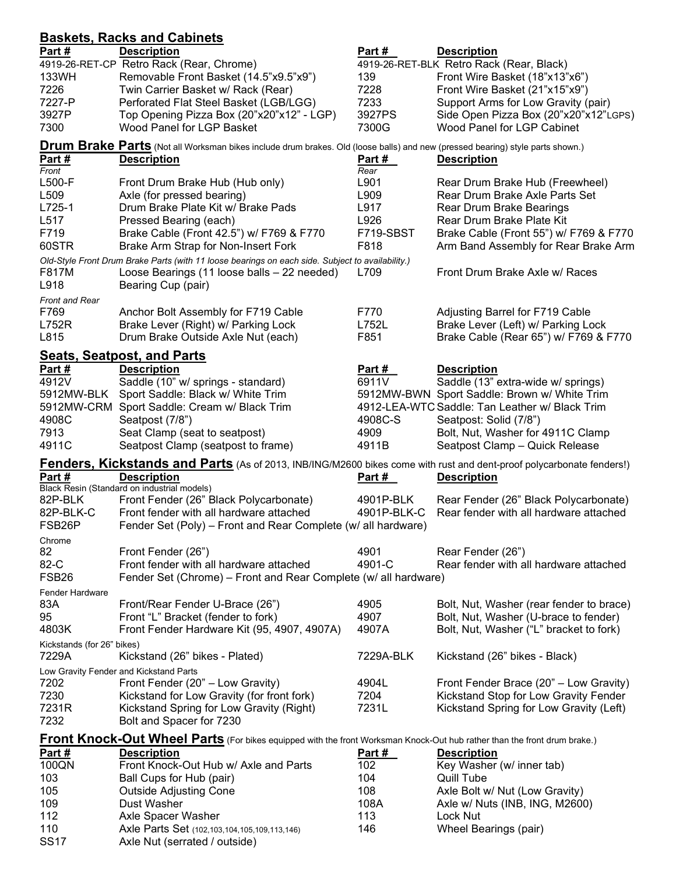| <b>Baskets, Racks and Cabinets</b>                                                                                          |                                                                                                                                 |               |                                                                                  |  |  |  |
|-----------------------------------------------------------------------------------------------------------------------------|---------------------------------------------------------------------------------------------------------------------------------|---------------|----------------------------------------------------------------------------------|--|--|--|
| Part#                                                                                                                       | <b>Description</b>                                                                                                              | Part#         | <b>Description</b>                                                               |  |  |  |
|                                                                                                                             | 4919-26-RET-CP Retro Rack (Rear, Chrome)                                                                                        |               | 4919-26-RET-BLK Retro Rack (Rear, Black)                                         |  |  |  |
| 133WH                                                                                                                       | Removable Front Basket (14.5"x9.5"x9")                                                                                          | 139           | Front Wire Basket (18"x13"x6")                                                   |  |  |  |
| 7226                                                                                                                        | Twin Carrier Basket w/ Rack (Rear)                                                                                              | 7228          | Front Wire Basket (21"x15"x9")                                                   |  |  |  |
| 7227-P                                                                                                                      | Perforated Flat Steel Basket (LGB/LGG)                                                                                          | 7233          | Support Arms for Low Gravity (pair)                                              |  |  |  |
| 3927P                                                                                                                       | Top Opening Pizza Box (20"x20"x12" - LGP)                                                                                       | 3927PS        | Side Open Pizza Box (20"x20"x12"LGPS)                                            |  |  |  |
| 7300                                                                                                                        | Wood Panel for LGP Basket                                                                                                       | 7300G         | Wood Panel for LGP Cabinet                                                       |  |  |  |
|                                                                                                                             | Drum Brake Parts (Not all Worksman bikes include drum brakes. Old (loose balls) and new (pressed bearing) style parts shown.)   |               |                                                                                  |  |  |  |
| Part #                                                                                                                      | <b>Description</b>                                                                                                              | Part #        | <b>Description</b>                                                               |  |  |  |
| Front                                                                                                                       |                                                                                                                                 | Rear          |                                                                                  |  |  |  |
| L500-F                                                                                                                      | Front Drum Brake Hub (Hub only)                                                                                                 | L901          | Rear Drum Brake Hub (Freewheel)                                                  |  |  |  |
| L509                                                                                                                        | Axle (for pressed bearing)                                                                                                      | L909          | Rear Drum Brake Axle Parts Set                                                   |  |  |  |
| L725-1                                                                                                                      | Drum Brake Plate Kit w/ Brake Pads                                                                                              | L917          | Rear Drum Brake Bearings                                                         |  |  |  |
| L517                                                                                                                        | Pressed Bearing (each)                                                                                                          | L926          | Rear Drum Brake Plate Kit                                                        |  |  |  |
| F719                                                                                                                        | Brake Cable (Front 42.5") w/ F769 & F770                                                                                        | F719-SBST     | Brake Cable (Front 55") w/ F769 & F770                                           |  |  |  |
| 60STR                                                                                                                       | Brake Arm Strap for Non-Insert Fork                                                                                             | F818          | Arm Band Assembly for Rear Brake Arm                                             |  |  |  |
|                                                                                                                             | Old-Style Front Drum Brake Parts (with 11 loose bearings on each side. Subject to availability.)                                |               | Front Drum Brake Axle w/ Races                                                   |  |  |  |
| F817M                                                                                                                       | Loose Bearings (11 loose balls - 22 needed)                                                                                     | L709          |                                                                                  |  |  |  |
| L918                                                                                                                        | Bearing Cup (pair)                                                                                                              |               |                                                                                  |  |  |  |
| Front and Rear<br>F769                                                                                                      | Anchor Bolt Assembly for F719 Cable                                                                                             | F770          | Adjusting Barrel for F719 Cable                                                  |  |  |  |
| L752R                                                                                                                       | Brake Lever (Right) w/ Parking Lock                                                                                             | L752L         | Brake Lever (Left) w/ Parking Lock                                               |  |  |  |
| L815                                                                                                                        | Drum Brake Outside Axle Nut (each)                                                                                              | F851          | Brake Cable (Rear 65") w/ F769 & F770                                            |  |  |  |
|                                                                                                                             |                                                                                                                                 |               |                                                                                  |  |  |  |
|                                                                                                                             | <b>Seats, Seatpost, and Parts</b>                                                                                               |               |                                                                                  |  |  |  |
| Part #                                                                                                                      | <b>Description</b>                                                                                                              | Part#         | <b>Description</b>                                                               |  |  |  |
| 4912V                                                                                                                       | Saddle (10" w/ springs - standard)                                                                                              | 6911V         | Saddle (13" extra-wide w/ springs)                                               |  |  |  |
| 5912MW-BLK                                                                                                                  | Sport Saddle: Black w/ White Trim                                                                                               |               | 5912MW-BWN Sport Saddle: Brown w/ White Trim                                     |  |  |  |
|                                                                                                                             | 5912MW-CRM Sport Saddle: Cream w/ Black Trim                                                                                    |               | 4912-LEA-WTC Saddle: Tan Leather w/ Black Trim                                   |  |  |  |
| 4908C                                                                                                                       | Seatpost (7/8")                                                                                                                 | 4908C-S       | Seatpost: Solid (7/8")                                                           |  |  |  |
| 7913<br>4911C                                                                                                               | Seat Clamp (seat to seatpost)<br>Seatpost Clamp (seatpost to frame)                                                             | 4909<br>4911B | Bolt, Nut, Washer for 4911C Clamp<br>Seatpost Clamp - Quick Release              |  |  |  |
|                                                                                                                             |                                                                                                                                 |               |                                                                                  |  |  |  |
| <b>Fenders, Kickstands and Parts</b> (As of 2013, INB/ING/M2600 bikes come with rust and dent-proof polycarbonate fenders!) |                                                                                                                                 |               |                                                                                  |  |  |  |
|                                                                                                                             |                                                                                                                                 |               |                                                                                  |  |  |  |
| Part#                                                                                                                       | <b>Description</b>                                                                                                              | Part #        | <b>Description</b>                                                               |  |  |  |
|                                                                                                                             | Black Resin (Standard on industrial models)                                                                                     |               |                                                                                  |  |  |  |
| 82P-BLK                                                                                                                     | Front Fender (26" Black Polycarbonate)                                                                                          | 4901P-BLK     | Rear Fender (26" Black Polycarbonate)                                            |  |  |  |
| 82P-BLK-C                                                                                                                   | Front fender with all hardware attached                                                                                         | 4901P-BLK-C   | Rear fender with all hardware attached                                           |  |  |  |
| FSB <sub>26</sub> P                                                                                                         | Fender Set (Poly) – Front and Rear Complete (w/ all hardware)                                                                   |               |                                                                                  |  |  |  |
| Chrome                                                                                                                      |                                                                                                                                 |               |                                                                                  |  |  |  |
| 82                                                                                                                          | Front Fender (26")                                                                                                              | 4901          | Rear Fender (26")                                                                |  |  |  |
| 82-C                                                                                                                        | Front fender with all hardware attached                                                                                         | 4901-C        | Rear fender with all hardware attached                                           |  |  |  |
| FSB <sub>26</sub>                                                                                                           | Fender Set (Chrome) - Front and Rear Complete (w/ all hardware)                                                                 |               |                                                                                  |  |  |  |
| <b>Fender Hardware</b>                                                                                                      |                                                                                                                                 |               |                                                                                  |  |  |  |
| 83A                                                                                                                         | Front/Rear Fender U-Brace (26")                                                                                                 | 4905          | Bolt, Nut, Washer (rear fender to brace)                                         |  |  |  |
| 95<br>4803K                                                                                                                 | Front "L" Bracket (fender to fork)<br>Front Fender Hardware Kit (95, 4907, 4907A)                                               | 4907<br>4907A | Bolt, Nut, Washer (U-brace to fender)<br>Bolt, Nut, Washer ("L" bracket to fork) |  |  |  |
|                                                                                                                             |                                                                                                                                 |               |                                                                                  |  |  |  |
| Kickstands (for 26" bikes)<br>7229A                                                                                         | Kickstand (26" bikes - Plated)                                                                                                  | 7229A-BLK     | Kickstand (26" bikes - Black)                                                    |  |  |  |
|                                                                                                                             | Low Gravity Fender and Kickstand Parts                                                                                          |               |                                                                                  |  |  |  |
| 7202                                                                                                                        | Front Fender (20" - Low Gravity)                                                                                                | 4904L         | Front Fender Brace (20" - Low Gravity)                                           |  |  |  |
| 7230                                                                                                                        | Kickstand for Low Gravity (for front fork)                                                                                      | 7204          | Kickstand Stop for Low Gravity Fender                                            |  |  |  |
| 7231R                                                                                                                       | Kickstand Spring for Low Gravity (Right)                                                                                        | 7231L         | Kickstand Spring for Low Gravity (Left)                                          |  |  |  |
| 7232                                                                                                                        | Bolt and Spacer for 7230                                                                                                        |               |                                                                                  |  |  |  |
|                                                                                                                             |                                                                                                                                 |               |                                                                                  |  |  |  |
|                                                                                                                             | <b>Front Knock-Out Wheel Parts</b> (For bikes equipped with the front Worksman Knock-Out hub rather than the front drum brake.) | Part #        | <b>Description</b>                                                               |  |  |  |
| Part #<br>100QN                                                                                                             | <b>Description</b><br>Front Knock-Out Hub w/ Axle and Parts                                                                     | 102           |                                                                                  |  |  |  |
| 103                                                                                                                         | Ball Cups for Hub (pair)                                                                                                        | 104           | Key Washer (w/ inner tab)<br>Quill Tube                                          |  |  |  |
| 105                                                                                                                         | <b>Outside Adjusting Cone</b>                                                                                                   | 108           |                                                                                  |  |  |  |
| 109                                                                                                                         | Dust Washer                                                                                                                     | 108A          | Axle Bolt w/ Nut (Low Gravity)<br>Axle w/ Nuts (INB, ING, M2600)                 |  |  |  |
| 112                                                                                                                         | Axle Spacer Washer                                                                                                              | 113           | Lock Nut                                                                         |  |  |  |
| 110                                                                                                                         | Axle Parts Set (102, 103, 104, 105, 109, 113, 146)                                                                              | 146           | Wheel Bearings (pair)                                                            |  |  |  |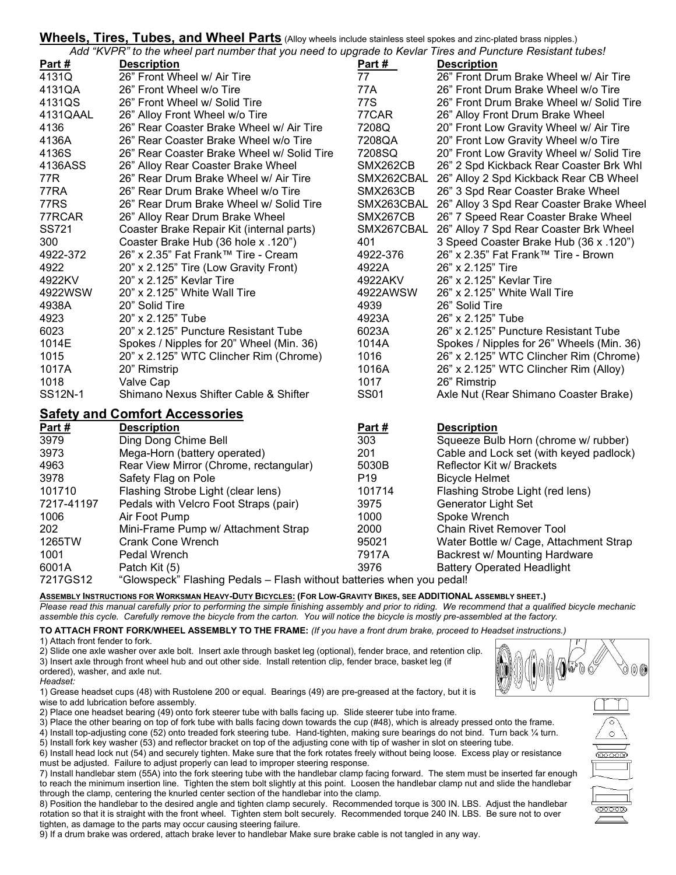# Wheels, Tires, Tubes, and Wheel Parts (Alloy wheels include stainless steel spokes and zinc-plated brass nipples.)<br>
Additional contract the state of the state of the state of the state of the state of the state of the stat

marado to Koular Tires and Du

|                                       | Add "KVPR" to the wheel part number that you heed to upgrade to Keviar Tires and Puncture Resistant tubes! |                 |                                           |  |  |  |
|---------------------------------------|------------------------------------------------------------------------------------------------------------|-----------------|-------------------------------------------|--|--|--|
| Part #                                | <b>Description</b>                                                                                         | Part #          | <b>Description</b>                        |  |  |  |
| 4131Q                                 | 26" Front Wheel w/ Air Tire                                                                                | 77              | 26" Front Drum Brake Wheel w/ Air Tire    |  |  |  |
| 4131QA                                | 26" Front Wheel w/o Tire                                                                                   | 77A             | 26" Front Drum Brake Wheel w/o Tire       |  |  |  |
| 4131QS                                | 26" Front Wheel w/ Solid Tire                                                                              | 77S             | 26" Front Drum Brake Wheel w/ Solid Tire  |  |  |  |
| 4131QAAL                              | 26" Alloy Front Wheel w/o Tire                                                                             | 77CAR           | 26" Alloy Front Drum Brake Wheel          |  |  |  |
| 4136                                  | 26" Rear Coaster Brake Wheel w/ Air Tire                                                                   | 7208Q           | 20" Front Low Gravity Wheel w/ Air Tire   |  |  |  |
| 4136A                                 | 26" Rear Coaster Brake Wheel w/o Tire                                                                      | 7208QA          | 20" Front Low Gravity Wheel w/o Tire      |  |  |  |
| 4136S                                 | 26" Rear Coaster Brake Wheel w/ Solid Tire                                                                 | 7208SQ          | 20" Front Low Gravity Wheel w/ Solid Tire |  |  |  |
| 4136ASS                               | 26" Alloy Rear Coaster Brake Wheel                                                                         | SMX262CB        | 26" 2 Spd Kickback Rear Coaster Brk Whl   |  |  |  |
| 77R                                   | 26" Rear Drum Brake Wheel w/ Air Tire                                                                      | SMX262CBAL      | 26" Alloy 2 Spd Kickback Rear CB Wheel    |  |  |  |
| 77RA                                  | 26" Rear Drum Brake Wheel w/o Tire                                                                         | SMX263CB        | 26" 3 Spd Rear Coaster Brake Wheel        |  |  |  |
| 77RS                                  | 26" Rear Drum Brake Wheel w/ Solid Tire                                                                    | SMX263CBAL      | 26" Alloy 3 Spd Rear Coaster Brake Wheel  |  |  |  |
| 77RCAR                                | 26" Alloy Rear Drum Brake Wheel                                                                            | SMX267CB        | 26" 7 Speed Rear Coaster Brake Wheel      |  |  |  |
| SS721                                 | Coaster Brake Repair Kit (internal parts)                                                                  | SMX267CBAL      | 26" Alloy 7 Spd Rear Coaster Brk Wheel    |  |  |  |
| 300                                   | Coaster Brake Hub (36 hole x .120")                                                                        | 401             | 3 Speed Coaster Brake Hub (36 x .120")    |  |  |  |
| 4922-372                              | 26" x 2.35" Fat Frank™ Tire - Cream                                                                        | 4922-376        | 26" x 2.35" Fat Frank™ Tire - Brown       |  |  |  |
| 4922                                  | 20" x 2.125" Tire (Low Gravity Front)                                                                      | 4922A           | 26" x 2.125" Tire                         |  |  |  |
| 4922KV                                | 20" x 2.125" Kevlar Tire                                                                                   | 4922AKV         | 26" x 2.125" Kevlar Tire                  |  |  |  |
| 4922WSW                               | 20" x 2.125" White Wall Tire                                                                               | 4922AWSW        | 26" x 2.125" White Wall Tire              |  |  |  |
| 4938A                                 | 20" Solid Tire                                                                                             | 4939            | 26" Solid Tire                            |  |  |  |
| 4923                                  | 20" x 2.125" Tube                                                                                          | 4923A           | 26" x 2.125" Tube                         |  |  |  |
| 6023                                  | 20" x 2.125" Puncture Resistant Tube                                                                       | 6023A           | 26" x 2.125" Puncture Resistant Tube      |  |  |  |
| 1014E                                 | Spokes / Nipples for 20" Wheel (Min. 36)                                                                   | 1014A           | Spokes / Nipples for 26" Wheels (Min. 36) |  |  |  |
| 1015                                  | 20" x 2.125" WTC Clincher Rim (Chrome)                                                                     | 1016            | 26" x 2.125" WTC Clincher Rim (Chrome)    |  |  |  |
| 1017A                                 | 20" Rimstrip                                                                                               | 1016A           | 26" x 2.125" WTC Clincher Rim (Alloy)     |  |  |  |
| 1018                                  | Valve Cap                                                                                                  | 1017            | 26" Rimstrip                              |  |  |  |
| SS12N-1                               | Shimano Nexus Shifter Cable & Shifter                                                                      | <b>SS01</b>     | Axle Nut (Rear Shimano Coaster Brake)     |  |  |  |
| <b>Safety and Comfort Accessories</b> |                                                                                                            |                 |                                           |  |  |  |
| Part #                                | <b>Description</b>                                                                                         | Part#           | <b>Description</b>                        |  |  |  |
| 3979                                  | Ding Dong Chime Bell                                                                                       | 303             | Squeeze Bulb Horn (chrome w/ rubber)      |  |  |  |
| 3973                                  | Mega-Horn (battery operated)                                                                               | 201             | Cable and Lock set (with keyed padlock)   |  |  |  |
| 4963                                  | Rear View Mirror (Chrome, rectangular)                                                                     | 5030B           | Reflector Kit w/ Brackets                 |  |  |  |
| 3978                                  | Safety Flag on Pole                                                                                        | P <sub>19</sub> | <b>Bicycle Helmet</b>                     |  |  |  |
| 101710                                | Flashing Strobe Light (clear lens)                                                                         | 101714          | Flashing Strobe Light (red lens)          |  |  |  |
| 7217-41197                            | Pedals with Velcro Foot Straps (pair)                                                                      | 3975            | Generator Light Set                       |  |  |  |
| 1006                                  | Air Foot Pump                                                                                              | 1000            | Spoke Wrench                              |  |  |  |
| 202                                   | Mini-Frame Pump w/ Attachment Strap                                                                        | 2000            | Chain Rivet Remover Tool                  |  |  |  |
| 1265TW                                | <b>Crank Cone Wrench</b>                                                                                   | 95021           | Water Bottle w/ Cage, Attachment Strap    |  |  |  |
| 1001                                  | Pedal Wrench                                                                                               | 7917A           | Backrest w/ Mounting Hardware             |  |  |  |
| 6001A                                 | Patch Kit (5)                                                                                              | 3976            | <b>Battery Operated Headlight</b>         |  |  |  |
| 7217GS12                              | "Glowspeck" Flashing Pedals – Flash without batteries when you pedall                                      |                 |                                           |  |  |  |

ilowspeck" Flashing Pedals – Flash without batteries when you pedal!

ASSEMBLY INSTRUCTIONS FOR WORKSMAN HEAVY-DUTY BICYCLES: (FOR LOW-GRAVITY BIKES, SEE ADDITIONAL ASSEMBLY SHEET.) Please read this manual carefully prior to performing the simple finishing assembly and prior to riding. We recommend that a qualified bicycle mechanic assemble this cycle. Carefully remove the bicycle from the carton. You will notice the bicycle is mostly pre-assembled at the factory.

TO ATTACH FRONT FORK/WHEEL ASSEMBLY TO THE FRAME: (If you have a front drum brake, proceed to Headset instructions.) 1) Attach front fender to fork.

2) Slide one axle washer over axle bolt. Insert axle through basket leg (optional), fender brace, and retention clip. 3) Insert axle through front wheel hub and out other side. Install retention clip, fender brace, basket leg (if ordered), washer, and axle nut.

Headset:

1) Grease headset cups (48) with Rustolene 200 or equal. Bearings (49) are pre-greased at the factory, but it is wise to add lubrication before assembly.

2) Place one headset bearing (49) onto fork steerer tube with balls facing up. Slide steerer tube into frame.

3) Place the other bearing on top of fork tube with balls facing down towards the cup (#48), which is already pressed onto the frame. 4) Install top-adjusting cone (52) onto treaded fork steering tube. Hand-tighten, making sure bearings do not bind. Turn back ¼ turn.

5) Install fork key washer (53) and reflector bracket on top of the adjusting cone with tip of washer in slot on steering tube.

6) Install head lock nut (54) and securely tighten. Make sure that the fork rotates freely without being loose. Excess play or resistance must be adjusted. Failure to adjust properly can lead to improper steering response.

7) Install handlebar stem (55A) into the fork steering tube with the handlebar clamp facing forward. The stem must be inserted far enough to reach the minimum insertion line. Tighten the stem bolt slightly at this point. Loosen the handlebar clamp nut and slide the handlebar through the clamp, centering the knurled center section of the handlebar into the clamp.

8) Position the handlebar to the desired angle and tighten clamp securely. Recommended torque is 300 IN. LBS. Adjust the handlebar rotation so that it is straight with the front wheel. Tighten stem bolt securely. Recommended torque 240 IN. LBS. Be sure not to over tighten, as damage to the parts may occur causing steering failure.

9) If a drum brake was ordered, attach brake lever to handlebar Make sure brake cable is not tangled in any way.